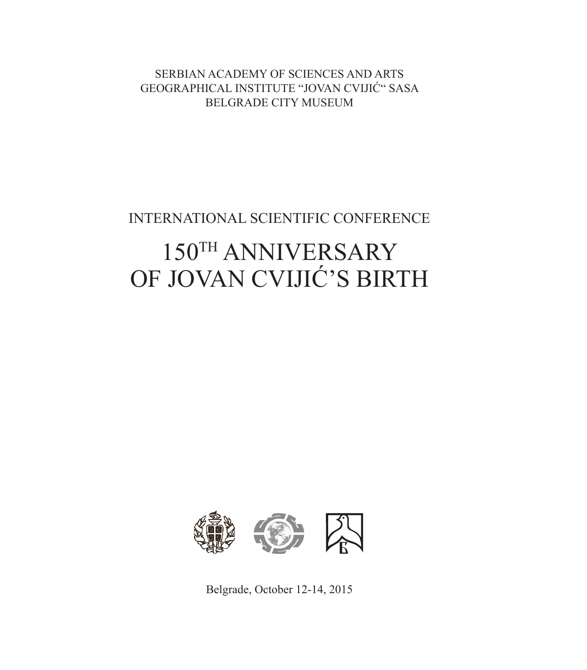SERBIAN ACADEMY OF SCIENCES AND ARTS GEOGRAPHICAL INSTITUTE "JOVAN CVIJIĆ" SASA BELGRADE CITY MUSEUM

INTERNATIONAL SCIENTIFIC CONFERENCE

# 150TH ANNIVERSARY OF JOVAN CVIJIĆ'S BIRTH



Belgrade, October 12-14, 2015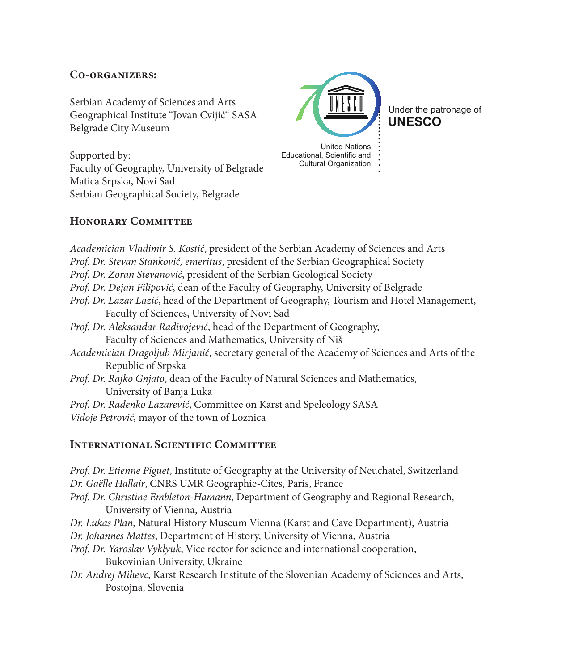# **Co-organizers:**

Serbian Academy of Sciences and Arts Geographical Institute "Jovan Cvijić" SASA Belgrade City Museum

Supported by: Faculty of Geography, University of Belgrade Matica Srpska, Novi Sad Serbian Geographical Society, Belgrade



**UNESCO** Under the patronage of

Educational, Scientific and Cultural Organization

# **Honorary Committee**

*Academician Vladimir S. Kostić*, president of the Serbian Academy of Sciences and Arts *Prof. Dr. Stevan Stanković, emeritus*, president of the Serbian Geographical Society *Prof. Dr. Zoran Stevanović*, president of the Serbian Geological Society *Prof. Dr. Dejan Filipović*, dean of the Faculty of Geography, University of Belgrade *Prof. Dr. Lazar Lazić*, head of the Department of Geography, Tourism and Hotel Management, Faculty of Sciences, University of Novi Sad *Prof. Dr. Aleksandar Radivojević*, head of the Department of Geography, Faculty of Sciences and Mathematics, University of Niš *Academician Dragoljub Mirjanić*, secretary general of the Academy of Sciences and Arts of the Republic of Srpska *Prof. Dr. Rajko Gnjato*, dean of the Faculty of Natural Sciences and Mathematics, University of Banja Luka *Prof. Dr. Radenko Lazarević*, Committee on Karst and Speleology SASA *Vidoje Petrović,* mayor of the town of Loznica

### **INTERNATIONAL SCIENTIFIC COMMITTEE**

*Prof. Dr. Etienne Piguet*, Institute of Geography at the University of Neuchatel, Switzerland *Dr. Gaëlle Hallair*, CNRS UMR Geographie-Cites, Paris, France *Prof. Dr. Christine Embleton-Hamann*, Department of Geography and Regional Research, University of Vienna, Austria *Dr. Lukas Plan,* Natural History Museum Vienna (Karst and Cave Department), Austria *Dr. Johannes Mattes*, Department of History, University of Vienna, Austria *Prof. Dr. Yaroslav Vyklyuk*, Vice rector for science and international cooperation, Bukovinian University, Ukraine *Dr. Andrej Mihevc*, Karst Research Institute of the Slovenian Academy of Sciences and Arts, Postojna, Slovenia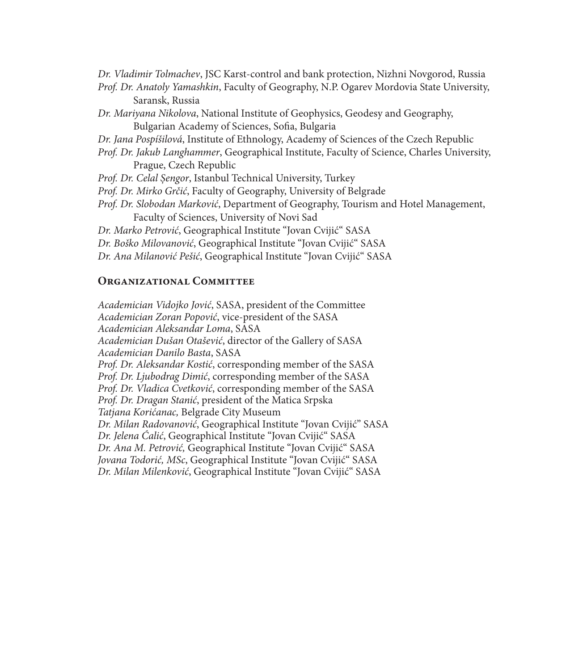*Dr. Vladimir Tolmachev*, JSC Karst-control and bank protection, Nizhni Novgorod, Russia *Prof. Dr. Anatoly Yamashkin*, Faculty of Geography, N.P. Ogarev Mordovia State University, Saransk, Russia *Dr. Mariyana Nikolova*, National Institute of Geophysics, Geodesy and Geography, Bulgarian Academy of Sciences, Sofia, Bulgaria *Dr. Jana Pospíšilová*, Institute of Ethnology, Academy of Sciences of the Czech Republic *Prof. Dr. Jakub Langhammer*, Geographical Institute, Faculty of Science, Charles University, Prague, Czech Republic *Prof. Dr. Celal Șengor*, Istanbul Technical University, Turkey *Prof. Dr. Mirko Grčić*, Faculty of Geography, University of Belgrade *Prof. Dr. Slobodan Marković*, Department of Geography, Tourism and Hotel Management, Faculty of Sciences, University of Novi Sad *Dr. Marko Petrović*, Geographical Institute "Jovan Cvijić" SASA *Dr. Boško Milovanović*, Geographical Institute "Jovan Cvijić" SASA *Dr. Ana Milanović Pešić*, Geographical Institute "Jovan Cvijić" SASA

#### **Organizational Committee**

*Academician Vidojko Jović*, SASA, president of the Committee *Academician Zoran Popović*, vice-president of the SASA *Academician Aleksandar Loma*, SASA *Academician Dušan Otašević*, director of the Gallery of SASA *Academician Danilo Basta*, SASA *Prof. Dr. Aleksandar Kostić*, corresponding member of the SASA *Prof. Dr. Ljubodrag Dimić*, corresponding member of the SASA *Prof. Dr. Vladica Cvetković*, corresponding member of the SASA *Prof. Dr. Dragan Stanić*, president of the Matica Srpska *Tatjana Korićanac,* Belgrade City Museum *Dr. Milan Radovanović*, Geographical Institute "Jovan Cvijić" SASA *Dr. Jelena Ćalić*, Geographical Institute "Jovan Cvijić" SASA *Dr. Ana M. Petrović,* Geographical Institute "Jovan Cvijić" SASA *Jovana Todorić, MSc*, Geographical Institute "Jovan Cvijić" SASA *Dr. Milan Milenković*, Geographical Institute "Jovan Cvijić" SASA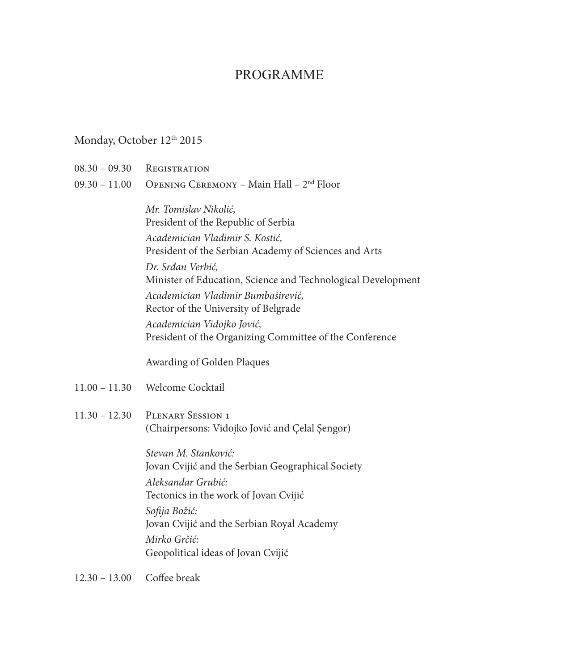# PROGRAMME

# Monday, October 12<sup>th</sup> 2015

- $08.30 09.30$  Registration
- 09.30 11.00 Opening Ceremony Main Hall 2nd Floor

*Mr. Tomislav Nikolić,*  President of the Republic of Serbia *Academician Vladimir S. Kostić,* President of the Serbian Academy of Sciences and Arts *Dr. Srđan Verbić,*  Minister of Education, Science and Technological Development *Academician Vladimir Bumbaširević,*  Rector of the University of Belgrade *Academician Vidojko Jović,*  President of the Organizing Committee of the Conference

Awarding of Golden Plaques

- 11.00 11.30 Welcome Cocktail
- 11.30 12.30 Plenary Session 1 (Chairpersons: Vidojko Jović and Çelal Șengor)

*Stevan M. Stanković:* Jovan Cvijić and the Serbian Geographical Society *Aleksandar Grubić:*  Tectonics in the work of Jovan Cvijić *Sofija Božić:*  Jovan Cvijić and the Serbian Royal Academy *Mirko Grčić:*  Geopolitical ideas of Jovan Cvijić

12.30 – 13.00 Coffee break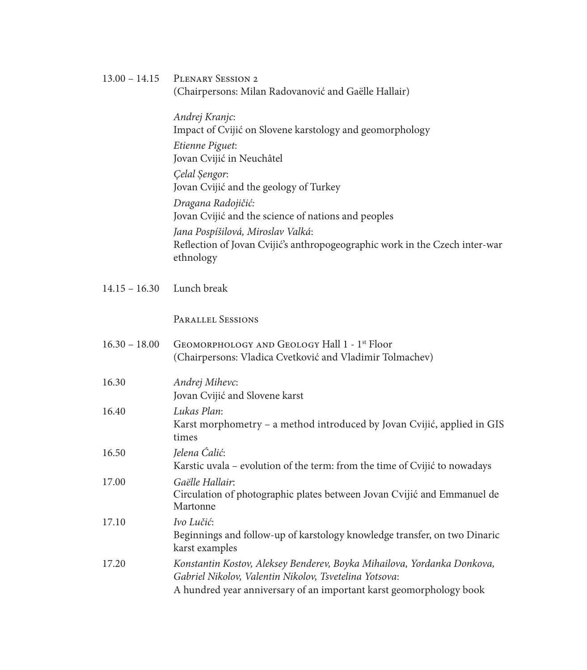| $13.00 - 14.15$ | PLENARY SESSION 2<br>(Chairpersons: Milan Radovanović and Gaëlle Hallair)                                                                                                                                |
|-----------------|----------------------------------------------------------------------------------------------------------------------------------------------------------------------------------------------------------|
|                 | Andrej Kranjc:<br>Impact of Cvijić on Slovene karstology and geomorphology                                                                                                                               |
|                 | Etienne Piguet:<br>Jovan Cvijić in Neuchâtel                                                                                                                                                             |
|                 | Çelal Şengor:                                                                                                                                                                                            |
|                 | Jovan Cvijić and the geology of Turkey<br>Dragana Radojičić:                                                                                                                                             |
|                 | Jovan Cvijić and the science of nations and peoples                                                                                                                                                      |
|                 | Jana Pospíšilová, Miroslav Valká:<br>Reflection of Jovan Cvijić's anthropogeographic work in the Czech inter-war<br>ethnology                                                                            |
| $14.15 - 16.30$ | Lunch break                                                                                                                                                                                              |
|                 | <b>PARALLEL SESSIONS</b>                                                                                                                                                                                 |
| $16.30 - 18.00$ | GEOMORPHOLOGY AND GEOLOGY Hall 1 - 1 <sup>st</sup> Floor<br>(Chairpersons: Vladica Cvetković and Vladimir Tolmachev)                                                                                     |
| 16.30           | Andrej Mihevc:<br>Jovan Cvijić and Slovene karst                                                                                                                                                         |
| 16.40           | Lukas Plan:                                                                                                                                                                                              |
|                 | Karst morphometry - a method introduced by Jovan Cvijić, applied in GIS<br>times                                                                                                                         |
| 16.50           | Jelena Ćalić:<br>Karstic uvala – evolution of the term: from the time of Cvijić to nowadays                                                                                                              |
| 17.00           | Gaëlle Hallair:<br>Circulation of photographic plates between Jovan Cvijić and Emmanuel de<br>Martonne                                                                                                   |
| 17.10           | Ivo Lučić:<br>Beginnings and follow-up of karstology knowledge transfer, on two Dinaric<br>karst examples                                                                                                |
| 17.20           | Konstantin Kostov, Aleksey Benderev, Boyka Mihailova, Yordanka Donkova,<br>Gabriel Nikolov, Valentin Nikolov, Tsvetelina Yotsova:<br>A hundred year anniversary of an important karst geomorphology book |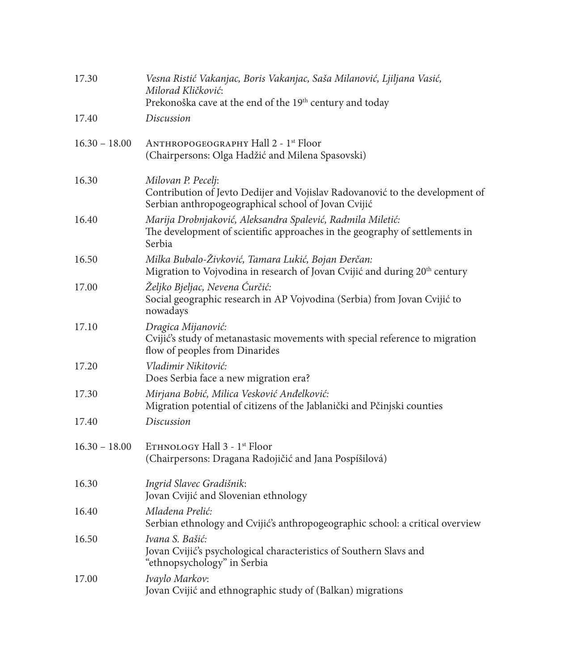| 17.30           | Vesna Ristić Vakanjac, Boris Vakanjac, Saša Milanović, Ljiljana Vasić,<br>Milorad Kličković:<br>Prekonoška cave at the end of the 19th century and today  |
|-----------------|-----------------------------------------------------------------------------------------------------------------------------------------------------------|
| 17.40           | Discussion                                                                                                                                                |
| $16.30 - 18.00$ | ANTHROPOGEOGRAPHY Hall 2 - 1 <sup>st</sup> Floor<br>(Chairpersons: Olga Hadžić and Milena Spasovski)                                                      |
| 16.30           | Milovan P. Pecelj:<br>Contribution of Jevto Dedijer and Vojislav Radovanović to the development of<br>Serbian anthropogeographical school of Jovan Cvijić |
| 16.40           | Marija Drobnjaković, Aleksandra Spalević, Radmila Miletić:<br>The development of scientific approaches in the geography of settlements in<br>Serbia       |
| 16.50           | Milka Bubalo-Živković, Tamara Lukić, Bojan Đerčan:<br>Migration to Vojvodina in research of Jovan Cvijić and during 20 <sup>th</sup> century              |
| 17.00           | Željko Bjeljac, Nevena Ćurčić:<br>Social geographic research in AP Vojvodina (Serbia) from Jovan Cvijić to<br>nowadays                                    |
| 17.10           | Dragica Mijanović:<br>Cvijić's study of metanastasic movements with special reference to migration<br>flow of peoples from Dinarides                      |
| 17.20           | Vladimir Nikitović:<br>Does Serbia face a new migration era?                                                                                              |
| 17.30           | Mirjana Bobić, Milica Vesković Anđelković:<br>Migration potential of citizens of the Jablanički and Pčinjski counties                                     |
| 17.40           | Discussion                                                                                                                                                |
| $16.30 - 18.00$ | ETHNOLOGY Hall 3 - 1 <sup>st</sup> Floor<br>(Chairpersons: Dragana Radojičić and Jana Pospíšilová)                                                        |
| 16.30           | Ingrid Slavec Gradišnik:<br>Jovan Cvijić and Slovenian ethnology                                                                                          |
| 16.40           | Mladena Prelić:<br>Serbian ethnology and Cvijić's anthropogeographic school: a critical overview                                                          |
| 16.50           | Ivana S. Bašić:<br>Jovan Cvijić's psychological characteristics of Southern Slavs and<br>"ethnopsychology" in Serbia                                      |
| 17.00           | Ivaylo Markov:<br>Jovan Cvijić and ethnographic study of (Balkan) migrations                                                                              |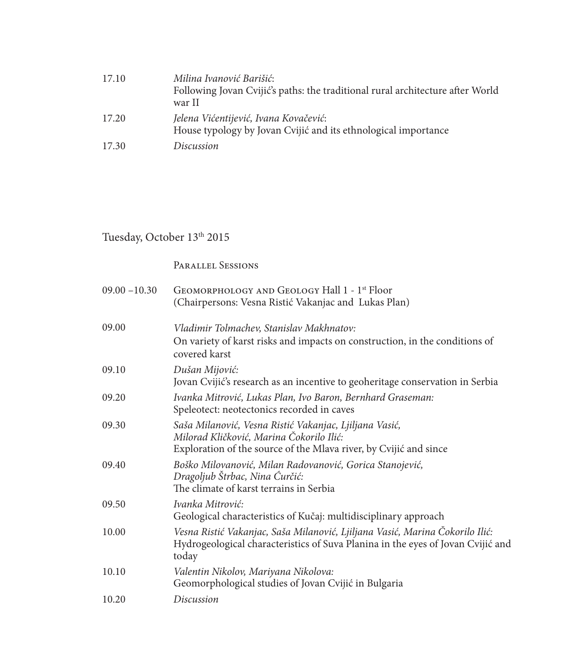| 17.10 | Milina Ivanović Barišić:<br>Following Jovan Cvijić's paths: the traditional rural architecture after World<br>war II |
|-------|----------------------------------------------------------------------------------------------------------------------|
| 17.20 | Jelena Vićentijević, Ivana Kovačević:<br>House typology by Jovan Cvijić and its ethnological importance              |
| 17.30 | Discussion                                                                                                           |

# Tuesday, October 13th 2015

Parallel Sessions

| $09.00 - 10.30$ | GEOMORPHOLOGY AND GEOLOGY Hall 1 - 1 <sup>st</sup> Floor<br>(Chairpersons: Vesna Ristić Vakanjac and Lukas Plan)                                                         |
|-----------------|--------------------------------------------------------------------------------------------------------------------------------------------------------------------------|
| 09.00           | Vladimir Tolmachev, Stanislav Makhnatov:<br>On variety of karst risks and impacts on construction, in the conditions of<br>covered karst                                 |
| 09.10           | Dušan Mijović:<br>Jovan Cvijić's research as an incentive to geoheritage conservation in Serbia                                                                          |
| 09.20           | Ivanka Mitrović, Lukas Plan, Ivo Baron, Bernhard Graseman:<br>Speleotect: neotectonics recorded in caves                                                                 |
| 09.30           | Saša Milanović, Vesna Ristić Vakanjac, Ljiljana Vasić,<br>Milorad Kličković, Marina Čokorilo Ilić:<br>Exploration of the source of the Mlava river, by Cvijić and since  |
| 09.40           | Boško Milovanović, Milan Radovanović, Gorica Stanojević,<br>Dragoljub Štrbac, Nina Ćurčić:<br>The climate of karst terrains in Serbia                                    |
| 09.50           | Ivanka Mitrović:<br>Geological characteristics of Kučaj: multidisciplinary approach                                                                                      |
| 10.00           | Vesna Ristić Vakanjac, Saša Milanović, Ljiljana Vasić, Marina Čokorilo Ilić:<br>Hydrogeological characteristics of Suva Planina in the eyes of Jovan Cvijić and<br>today |
| 10.10           | Valentin Nikolov, Mariyana Nikolova:<br>Geomorphological studies of Jovan Cvijić in Bulgaria                                                                             |
| 10.20           | Discussion                                                                                                                                                               |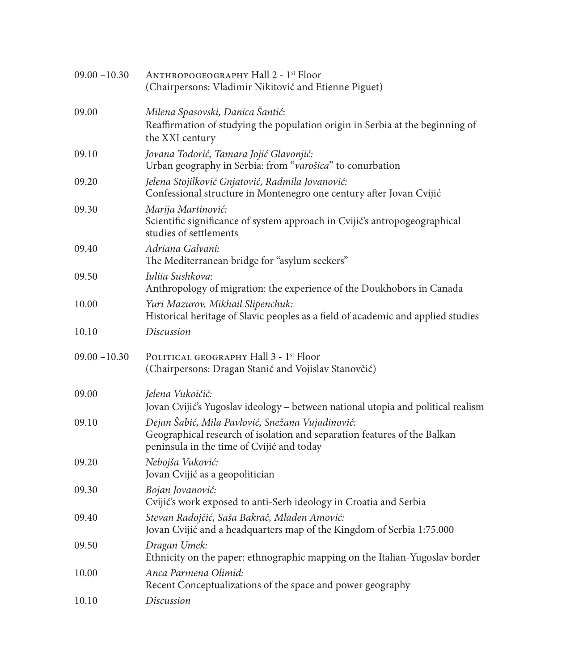| $09.00 - 10.30$ | ANTHROPOGEOGRAPHY Hall 2 - 1 <sup>st</sup> Floor<br>(Chairpersons: Vladimir Nikitović and Etienne Piguet)                                                                 |
|-----------------|---------------------------------------------------------------------------------------------------------------------------------------------------------------------------|
| 09.00           | Milena Spasovski, Danica Šantić:<br>Reaffirmation of studying the population origin in Serbia at the beginning of<br>the XXI century                                      |
| 09.10           | Jovana Todorić, Tamara Jojić Glavonjić:<br>Urban geography in Serbia: from "varošica" to conurbation                                                                      |
| 09.20           | Jelena Stojilković Gnjatović, Radmila Jovanović:<br>Confessional structure in Montenegro one century after Jovan Cvijić                                                   |
| 09.30           | Marija Martinović:<br>Scientific significance of system approach in Cvijić's antropogeographical<br>studies of settlements                                                |
| 09.40           | Adriana Galvani:<br>The Mediterranean bridge for "asylum seekers"                                                                                                         |
| 09.50           | Iuliia Sushkova:<br>Anthropology of migration: the experience of the Doukhobors in Canada                                                                                 |
| 10.00           | Yuri Mazurov, Mikhail Slipenchuk:<br>Historical heritage of Slavic peoples as a field of academic and applied studies                                                     |
| 10.10           | Discussion                                                                                                                                                                |
| $09.00 - 10.30$ | POLITICAL GEOGRAPHY Hall 3 - 1 <sup>st</sup> Floor<br>(Chairpersons: Dragan Stanić and Vojislav Stanovčić)                                                                |
| 09.00           | Jelena Vukoičić:                                                                                                                                                          |
|                 | Jovan Cvijić's Yugoslav ideology – between national utopia and political realism                                                                                          |
| 09.10           | Dejan Šabić, Mila Pavlović, Snežana Vujadinović:<br>Geographical research of isolation and separation features of the Balkan<br>peninsula in the time of Cvijić and today |
| 09.20           | Nebojša Vuković:<br>Jovan Cvijić as a geopolitician                                                                                                                       |
| 09.30           | Bojan Jovanović:<br>Cvijić's work exposed to anti-Serb ideology in Croatia and Serbia                                                                                     |
| 09.40           | Stevan Radojčić, Saša Bakrač, Mladen Amović:<br>Jovan Cvijić and a headquarters map of the Kingdom of Serbia 1:75.000                                                     |
| 09.50           | Dragan Umek:<br>Ethnicity on the paper: ethnographic mapping on the Italian-Yugoslav border                                                                               |
| 10.00           | Anca Parmena Olimid:<br>Recent Conceptualizations of the space and power geography                                                                                        |
| 10.10           | Discussion                                                                                                                                                                |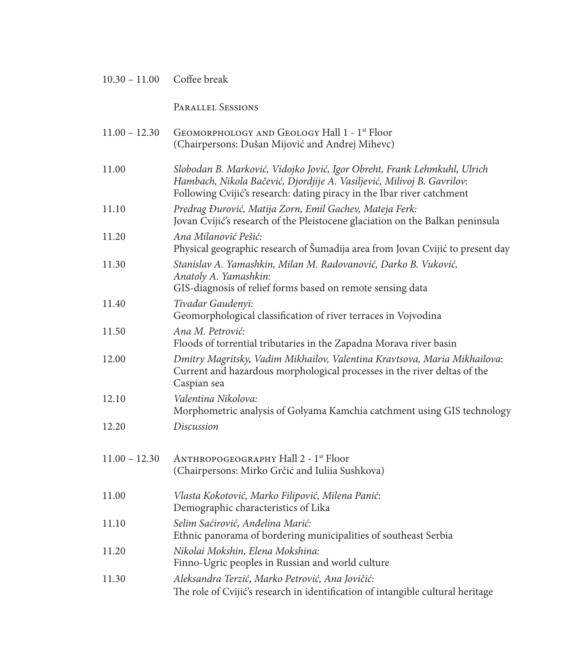| $10.30 - 11.00$ | Coffee break                                                                                                                                                                                                                 |
|-----------------|------------------------------------------------------------------------------------------------------------------------------------------------------------------------------------------------------------------------------|
|                 | PARALLEL SESSIONS                                                                                                                                                                                                            |
| $11.00 - 12.30$ | GEOMORPHOLOGY AND GEOLOGY Hall 1 - 1 <sup>st</sup> Floor<br>(Chairpersons: Dušan Mijović and Andrej Mihevc)                                                                                                                  |
| 11.00           | Slobodan B. Marković, Vidojko Jović, Igor Obreht, Frank Lehmkuhl, Ulrich<br>Hambach, Nikola Bačević, Djordjije A. Vasiljević, Milivoj B. Gavrilov:<br>Following Cvijić's research: dating piracy in the Ibar river catchment |
| 11.10           | Predrag Đurović, Matija Zorn, Emil Gachev, Mateja Ferk:<br>Jovan Cvijić's research of the Pleistocene glaciation on the Balkan peninsula                                                                                     |
| 11.20           | Ana Milanović Pešić:<br>Physical geographic research of Šumadija area from Jovan Cvijić to present day                                                                                                                       |
| 11.30           | Stanislav A. Yamashkin, Milan M. Radovanović, Darko B. Vuković,<br>Anatoly A. Yamashkin:<br>GIS-diagnosis of relief forms based on remote sensing data                                                                       |
| 11.40           | Tivadar Gaudenyi:<br>Geomorphological classification of river terraces in Vojvodina                                                                                                                                          |
| 11.50           | Ana M. Petrović:<br>Floods of torrential tributaries in the Zapadna Morava river basin                                                                                                                                       |
| 12.00           | Dmitry Magritsky, Vadim Mikhailov, Valentina Kravtsova, Maria Mikhailova:<br>Current and hazardous morphological processes in the river deltas of the<br>Caspian sea                                                         |
| 12.10           | Valentina Nikolova:<br>Morphometric analysis of Golyama Kamchia catchment using GIS technology                                                                                                                               |
| 12.20           | Discussion                                                                                                                                                                                                                   |
| $11.00 - 12.30$ | ANTHROPOGEOGRAPHY Hall 2 - 1 <sup>st</sup> Floor<br>(Chairpersons: Mirko Grčić and Iuliia Sushkova)                                                                                                                          |
| 11.00           | Vlasta Kokotović, Marko Filipović, Milena Panić:<br>Demographic characteristics of Lika                                                                                                                                      |
| 11.10           | Selim Saćirović, Anđelina Marić:<br>Ethnic panorama of bordering municipalities of southeast Serbia                                                                                                                          |
| 11.20           | Nikolai Mokshin, Elena Mokshina:<br>Finno-Ugric peoples in Russian and world culture                                                                                                                                         |
| 11.30           | Aleksandra Terzić, Marko Petrović, Ana Jovičić:<br>The role of Cvijić's research in identification of intangible cultural heritage                                                                                           |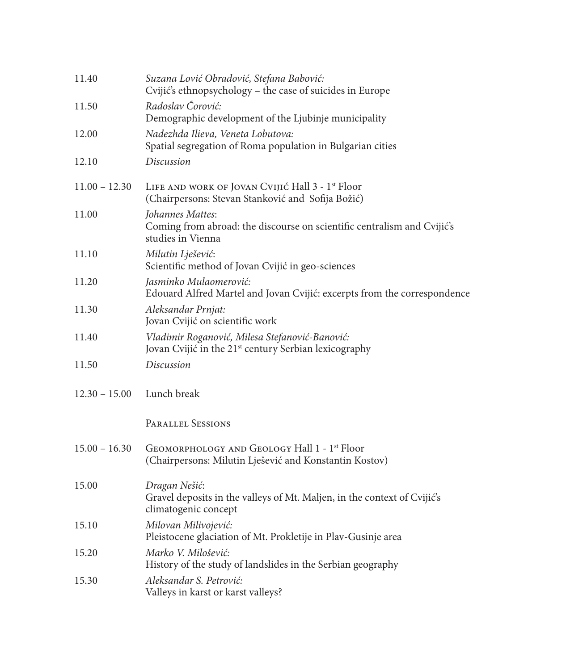| 11.40           | Suzana Lović Obradović, Stefana Babović:<br>Cvijić's ethnopsychology - the case of suicides in Europe               |
|-----------------|---------------------------------------------------------------------------------------------------------------------|
| 11.50           | Radoslav Ćorović:<br>Demographic development of the Ljubinje municipality                                           |
| 12.00           | Nadezhda Ilieva, Veneta Lobutova:<br>Spatial segregation of Roma population in Bulgarian cities                     |
| 12.10           | Discussion                                                                                                          |
| $11.00 - 12.30$ | LIFE AND WORK OF JOVAN CVIJIĆ Hall 3 - 1 <sup>st</sup> Floor<br>(Chairpersons: Stevan Stanković and Sofija Božić)   |
| 11.00           | Johannes Mattes:<br>Coming from abroad: the discourse on scientific centralism and Cvijić's<br>studies in Vienna    |
| 11.10           | Milutin Lješević:<br>Scientific method of Jovan Cvijić in geo-sciences                                              |
| 11.20           | Jasminko Mulaomerović:<br>Edouard Alfred Martel and Jovan Cvijić: excerpts from the correspondence                  |
| 11.30           | Aleksandar Prnjat:<br>Jovan Cvijić on scientific work                                                               |
| 11.40           | Vladimir Roganović, Milesa Stefanović-Banović:<br>Jovan Cvijić in the 21 <sup>st</sup> century Serbian lexicography |
| 11.50           | Discussion                                                                                                          |
| $12.30 - 15.00$ | Lunch break                                                                                                         |
|                 | <b>PARALLEL SESSIONS</b>                                                                                            |
| $15.00 - 16.30$ | GEOMORPHOLOGY AND GEOLOGY Hall 1 - 1 <sup>st</sup> Floor<br>(Chairpersons: Milutin Lješević and Konstantin Kostov)  |
| 15.00           | Dragan Nešić:<br>Gravel deposits in the valleys of Mt. Maljen, in the context of Cvijić's<br>climatogenic concept   |
| 15.10           | Milovan Milivojević:<br>Pleistocene glaciation of Mt. Prokletije in Plav-Gusinje area                               |
| 15.20           | Marko V. Milošević:<br>History of the study of landslides in the Serbian geography                                  |
| 15.30           | Aleksandar S. Petrović:<br>Valleys in karst or karst valleys?                                                       |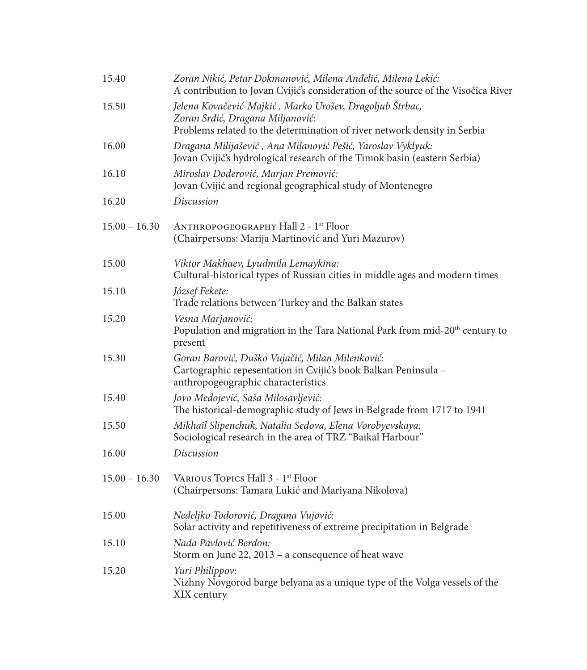| 15.40           | Zoran Nikić, Petar Dokmanović, Milena Anđelić, Milena Lekić:<br>A contribution to Jovan Cvijić's consideration of the source of the Visočica River                       |
|-----------------|--------------------------------------------------------------------------------------------------------------------------------------------------------------------------|
| 15.50           | Jelena Kovačević-Majkić, Marko Urošev, Dragoljub Štrbac,<br>Zoran Srdić, Dragana Miljanović:<br>Problems related to the determination of river network density in Serbia |
| 16.00           | Dragana Milijašević, Ana Milanović Pešić, Yaroslav Vyklyuk:<br>Jovan Cvijić's hydrological research of the Timok basin (eastern Serbia)                                  |
| 16.10           | Miroslav Doderović, Marjan Premović:<br>Jovan Cvijić and regional geographical study of Montenegro                                                                       |
| 16.20           | Discussion                                                                                                                                                               |
| $15.00 - 16.30$ | ANTHROPOGEOGRAPHY Hall 2 - 1 <sup>st</sup> Floor<br>(Chairpersons: Marija Martinović and Yuri Mazurov)                                                                   |
| 15.00           | Viktor Makhaev, Lyudmila Lemaykina:<br>Cultural-historical types of Russian cities in middle ages and modern times                                                       |
| 15.10           | József Fekete:<br>Trade relations between Turkey and the Balkan states                                                                                                   |
| 15.20           | Vesna Marjanović:<br>Population and migration in the Tara National Park from mid-20 <sup>th</sup> century to<br>present                                                  |
| 15.30           | Goran Barović, Duško Vujačić, Milan Milenković:<br>Cartographic repesentation in Cvijić's book Balkan Peninsula -<br>anthropogeographic characteristics                  |
| 15.40           | Jovo Medojević, Saša Milosavljević:<br>The historical-demographic study of Jews in Belgrade from 1717 to 1941                                                            |
| 15.50           | Mikhail Slipenchuk, Natalia Sedova, Elena Vorobyevskaya:<br>Sociological research in the area of TRZ "Baikal Harbour"                                                    |
| 16.00           | Discussion                                                                                                                                                               |
| $15.00 - 16.30$ | VARIOUS TOPICS Hall 3 - 1 <sup>st</sup> Floor<br>(Chairpersons: Tamara Lukić and Mariyana Nikolova)                                                                      |
| 15.00           | Nedeljko Todorović, Dragana Vujović:<br>Solar activity and repetitiveness of extreme precipitation in Belgrade                                                           |
| 15.10           | Nada Pavlović Berdon:<br>Storm on June 22, 2013 - a consequence of heat wave                                                                                             |
| 15.20           | Yuri Philippov:<br>Nizhny Novgorod barge belyana as a unique type of the Volga vessels of the<br>XIX century                                                             |
|                 |                                                                                                                                                                          |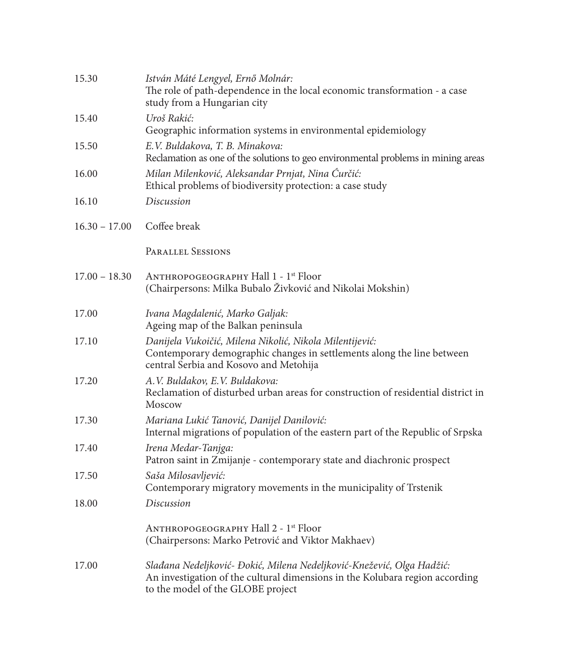| 15.30           | István Máté Lengyel, Ernő Molnár:<br>The role of path-dependence in the local economic transformation - a case<br>study from a Hungarian city                                              |
|-----------------|--------------------------------------------------------------------------------------------------------------------------------------------------------------------------------------------|
| 15.40           | Uroš Rakić:<br>Geographic information systems in environmental epidemiology                                                                                                                |
| 15.50           | E.V. Buldakova, T. B. Minakova:<br>Reclamation as one of the solutions to geo environmental problems in mining areas                                                                       |
| 16.00           | Milan Milenković, Aleksandar Prnjat, Nina Ćurčić:<br>Ethical problems of biodiversity protection: a case study                                                                             |
| 16.10           | Discussion                                                                                                                                                                                 |
| $16.30 - 17.00$ | Coffee break                                                                                                                                                                               |
|                 | <b>PARALLEL SESSIONS</b>                                                                                                                                                                   |
| $17.00 - 18.30$ | ANTHROPOGEOGRAPHY Hall 1 - 1 <sup>st</sup> Floor<br>(Chairpersons: Milka Bubalo Živković and Nikolai Mokshin)                                                                              |
| 17.00           | Ivana Magdalenić, Marko Galjak:<br>Ageing map of the Balkan peninsula                                                                                                                      |
| 17.10           | Danijela Vukoičić, Milena Nikolić, Nikola Milentijević:<br>Contemporary demographic changes in settlements along the line between<br>central Serbia and Kosovo and Metohija                |
| 17.20           | A.V. Buldakov, E.V. Buldakova:<br>Reclamation of disturbed urban areas for construction of residential district in<br>Moscow                                                               |
| 17.30           | Mariana Lukić Tanović, Danijel Danilović:<br>Internal migrations of population of the eastern part of the Republic of Srpska                                                               |
| 17.40           | Irena Medar-Tanjga:<br>Patron saint in Zmijanje - contemporary state and diachronic prospect                                                                                               |
| 17.50           | Saša Milosavljević:<br>Contemporary migratory movements in the municipality of Trstenik                                                                                                    |
| 18.00           | <b>Discussion</b>                                                                                                                                                                          |
|                 | ANTHROPOGEOGRAPHY Hall 2 - 1 <sup>st</sup> Floor<br>(Chairpersons: Marko Petrović and Viktor Makhaev)                                                                                      |
| 17.00           | Slađana Nedeljković- Đokić, Milena Nedeljković-Knežević, Olga Hadžić:<br>An investigation of the cultural dimensions in the Kolubara region according<br>to the model of the GLOBE project |